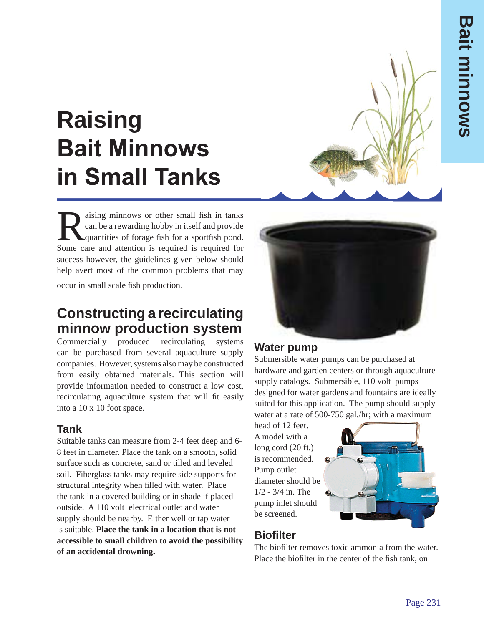# **Raising Bait Minnows in Small Tanks**

aising minnows or other small fish in tanks<br>can be a rewarding hobby in itself and provide<br>quantities of forage fish for a sportfish pond.<br>Some gave and ettertion is required is required for can be a rewarding hobby in itself and provide quantities of forage fish for a sportfish pond. Some care and attention is required is required for success however, the guidelines given below should help avert most of the common problems that may

occur in small scale fish production.

# **Constructing a recirculating minnow production system**

Commercially produced recirculating systems can be purchased from several aquaculture supply companies. However, systems also may be constructed from easily obtained materials. This section will provide information needed to construct a low cost, recirculating aquaculture system that will fit easily into a 10 x 10 foot space.

# **Tank**

Suitable tanks can measure from 2-4 feet deep and 6- 8 feet in diameter. Place the tank on a smooth, solid surface such as concrete, sand or tilled and leveled soil. Fiberglass tanks may require side supports for structural integrity when filled with water. Place the tank in a covered building or in shade if placed outside. A 110 volt electrical outlet and water supply should be nearby. Either well or tap water is suitable. **Place the tank in a location that is not accessible to small children to avoid the possibility of an accidental drowning.**



#### **Water pump**

Submersible water pumps can be purchased at hardware and garden centers or through aquaculture supply catalogs. Submersible, 110 volt pumps designed for water gardens and fountains are ideally suited for this application. The pump should supply water at a rate of 500-750 gal./hr; with a maximum

head of 12 feet. A model with a long cord (20 ft.) is recommended. Pump outlet diameter should be 1/2 - 3/4 in. The pump inlet should be screened.



# **Biofilter**

The biofilter removes toxic ammonia from the water. Place the biofilter in the center of the fish tank, on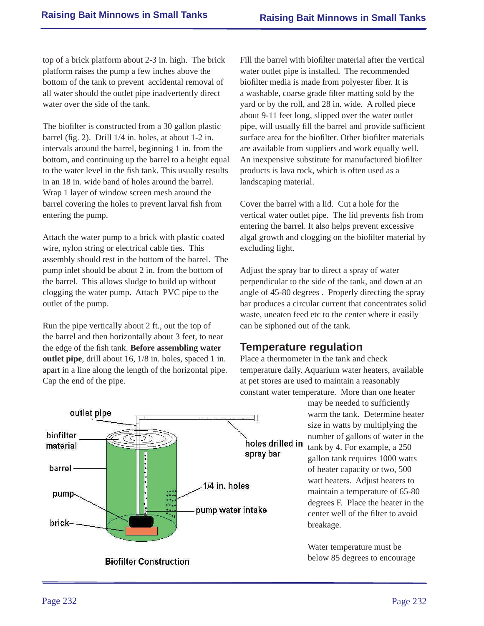top of a brick platform about 2-3 in. high. The brick platform raises the pump a few inches above the bottom of the tank to prevent accidental removal of all water should the outlet pipe inadvertently direct water over the side of the tank.

The biofilter is constructed from a 30 gallon plastic barrel (fig. 2). Drill  $1/4$  in. holes, at about  $1-2$  in. intervals around the barrel, beginning 1 in. from the bottom, and continuing up the barrel to a height equal to the water level in the fish tank. This usually results in an 18 in. wide band of holes around the barrel. Wrap 1 layer of window screen mesh around the barrel covering the holes to prevent larval fish from entering the pump.

Attach the water pump to a brick with plastic coated wire, nylon string or electrical cable ties. This assembly should rest in the bottom of the barrel. The pump inlet should be about 2 in. from the bottom of the barrel. This allows sludge to build up without clogging the water pump. Attach PVC pipe to the outlet of the pump.

Run the pipe vertically about 2 ft., out the top of the barrel and then horizontally about 3 feet, to near the edge of the fish tank. **Before assembling water outlet pipe**, drill about 16, 1/8 in. holes, spaced 1 in. apart in a line along the length of the horizontal pipe. Cap the end of the pipe.



Cover the barrel with a lid. Cut a hole for the vertical water outlet pipe. The lid prevents fish from entering the barrel. It also helps prevent excessive algal growth and clogging on the biofilter material by excluding light.

Adjust the spray bar to direct a spray of water perpendicular to the side of the tank, and down at an angle of 45-80 degrees . Properly directing the spray bar produces a circular current that concentrates solid waste, uneaten feed etc to the center where it easily can be siphoned out of the tank.

#### **Temperature regulation**

Place a thermometer in the tank and check temperature daily. Aquarium water heaters, available at pet stores are used to maintain a reasonably constant water temperature. More than one heater

may be needed to sufficiently warm the tank. Determine heater size in watts by multiplying the number of gallons of water in the tank by 4. For example, a 250 gallon tank requires 1000 watts of heater capacity or two, 500 watt heaters. Adjust heaters to maintain a temperature of 65-80 degrees F. Place the heater in the center well of the filter to avoid breakage.

Water temperature must be below 85 degrees to encourage

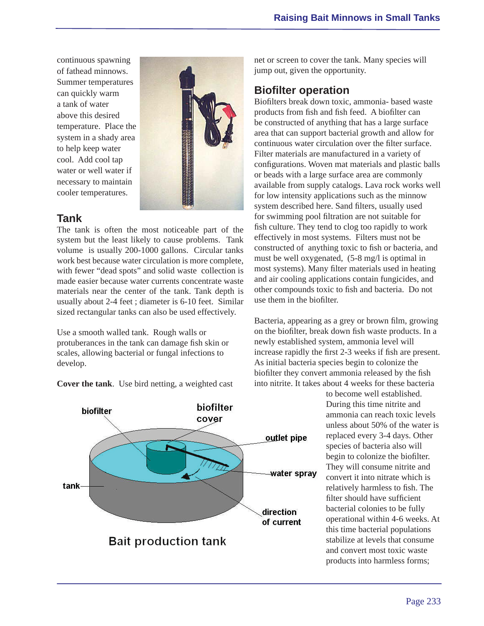continuous spawning of fathead minnows. Summer temperatures can quickly warm a tank of water above this desired temperature. Place the system in a shady area to help keep water cool. Add cool tap water or well water if necessary to maintain cooler temperatures.



#### **Tank**

The tank is often the most noticeable part of the system but the least likely to cause problems. Tank volume is usually 200-1000 gallons. Circular tanks work best because water circulation is more complete, with fewer "dead spots" and solid waste collection is made easier because water currents concentrate waste materials near the center of the tank. Tank depth is usually about 2-4 feet ; diameter is 6-10 feet. Similar sized rectangular tanks can also be used effectively.

Use a smooth walled tank. Rough walls or protuberances in the tank can damage fish skin or scales, allowing bacterial or fungal infections to develop.

**Cover the tank**. Use bird netting, a weighted cast



net or screen to cover the tank. Many species will jump out, given the opportunity.

## **Biofilter operation**

Biofilters break down toxic, ammonia- based waste products from fish and fish feed. A biofilter can be constructed of anything that has a large surface area that can support bacterial growth and allow for continuous water circulation over the filter surface. Filter materials are manufactured in a variety of configurations. Woven mat materials and plastic balls or beads with a large surface area are commonly available from supply catalogs. Lava rock works well for low intensity applications such as the minnow system described here. Sand filters, usually used for swimming pool filtration are not suitable for fish culture. They tend to clog too rapidly to work effectively in most systems. Filters must not be constructed of anything toxic to fish or bacteria, and must be well oxygenated, (5-8 mg/l is optimal in most systems). Many filter materials used in heating and air cooling applications contain fungicides, and other compounds toxic to fish and bacteria. Do not use them in the biofilter

Bacteria, appearing as a grey or brown film, growing on the biofilter, break down fish waste products. In a newly established system, ammonia level will increase rapidly the first 2-3 weeks if fish are present. As initial bacteria species begin to colonize the biofilter they convert ammonia released by the fish into nitrite. It takes about 4 weeks for these bacteria

> to become well established. During this time nitrite and ammonia can reach toxic levels unless about 50% of the water is replaced every 3-4 days. Other species of bacteria also will begin to colonize the biofilter. They will consume nitrite and convert it into nitrate which is relatively harmless to fish. The filter should have sufficient bacterial colonies to be fully operational within 4-6 weeks. At this time bacterial populations stabilize at levels that consume and convert most toxic waste products into harmless forms;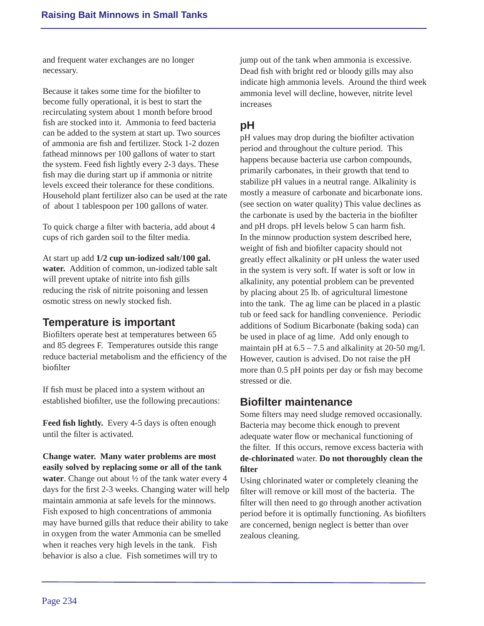and frequent water exchanges are no longer necessary.

Because it takes some time for the biofilter to become fully operational, it is best to start the recirculating system about 1 month before brood fish are stocked into it. Ammonia to feed bacteria can be added to the system at start up. Two sources of ammonia are fish and fertilizer. Stock 1-2 dozen fathead minnows per 100 gallons of water to start the system. Feed fish lightly every 2-3 days. These fish may die during start up if ammonia or nitrite levels exceed their tolerance for these conditions. Household plant fertilizer also can be used at the rate of about 1 tablespoon per 100 gallons of water.

To quick charge a filter with bacteria, add about 4 cups of rich garden soil to the filter media.

At start up add **1/2 cup un-iodized salt/100 gal. water.** Addition of common, un-iodized table salt will prevent uptake of nitrite into fish gills reducing the risk of nitrite poisoning and lessen osmotic stress on newly stocked fish.

## **Temperature is important**

Biofilters operate best at temperatures between 65 and 85 degrees F. Temperatures outside this range reduce bacterial metabolism and the efficiency of the **biofilter** 

If fish must be placed into a system without an established biofilter, use the following precautions:

**Feed fish lightly.** Every 4-5 days is often enough until the filter is activated.

**Change water. Many water problems are most easily solved by replacing some or all of the tank water**. Change out about ½ of the tank water every 4 days for the first 2-3 weeks. Changing water will help maintain ammonia at safe levels for the minnows. Fish exposed to high concentrations of ammonia may have burned gills that reduce their ability to take in oxygen from the water Ammonia can be smelled when it reaches very high levels in the tank. Fish behavior is also a clue. Fish sometimes will try to

jump out of the tank when ammonia is excessive. Dead fish with bright red or bloody gills may also indicate high ammonia levels. Around the third week ammonia level will decline, however, nitrite level increases

#### **pH**

pH values may drop during the biofilter activation period and throughout the culture period. This happens because bacteria use carbon compounds, primarily carbonates, in their growth that tend to stabilize pH values in a neutral range. Alkalinity is mostly a measure of carbonate and bicarbonate ions. (see section on water quality) This value declines as the carbonate is used by the bacteria in the biofilter and pH drops. pH levels below 5 can harm fish. In the minnow production system described here, weight of fish and biofilter capacity should not greatly effect alkalinity or pH unless the water used in the system is very soft. If water is soft or low in alkalinity, any potential problem can be prevented by placing about 25 lb. of agricultural limestone into the tank. The ag lime can be placed in a plastic tub or feed sack for handling convenience. Periodic additions of Sodium Bicarbonate (baking soda) can be used in place of ag lime. Add only enough to maintain pH at  $6.5 - 7.5$  and alkalinity at 20-50 mg/l. However, caution is advised. Do not raise the pH more than 0.5 pH points per day or fish may become stressed or die.

#### **Biofi lter maintenance**

Some filters may need sludge removed occasionally. Bacteria may become thick enough to prevent adequate water flow or mechanical functioning of the filter. If this occurs, remove excess bacteria with **de-chlorinated** water. **Do not thoroughly clean the filter** 

Using chlorinated water or completely cleaning the filter will remove or kill most of the bacteria. The filter will then need to go through another activation period before it is optimally functioning. As biofilters are concerned, benign neglect is better than over zealous cleaning.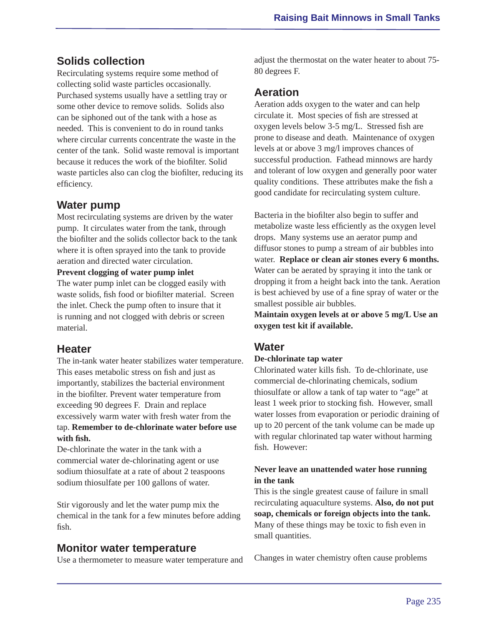## **Solids collection**

Recirculating systems require some method of collecting solid waste particles occasionally. Purchased systems usually have a settling tray or some other device to remove solids. Solids also can be siphoned out of the tank with a hose as needed. This is convenient to do in round tanks where circular currents concentrate the waste in the center of the tank. Solid waste removal is important because it reduces the work of the biofilter. Solid waste particles also can clog the biofilter, reducing its efficiency.

## **Water pump**

Most recirculating systems are driven by the water pump. It circulates water from the tank, through the biofilter and the solids collector back to the tank where it is often sprayed into the tank to provide aeration and directed water circulation.

#### **Prevent clogging of water pump inlet**

The water pump inlet can be clogged easily with waste solids, fish food or biofilter material. Screen the inlet. Check the pump often to insure that it is running and not clogged with debris or screen material.

#### **Heater**

The in-tank water heater stabilizes water temperature. This eases metabolic stress on fish and just as importantly, stabilizes the bacterial environment in the biofilter. Prevent water temperature from exceeding 90 degrees F. Drain and replace excessively warm water with fresh water from the tap. **Remember to de-chlorinate water before use**   $with$  fish.

De-chlorinate the water in the tank with a commercial water de-chlorinating agent or use sodium thiosulfate at a rate of about 2 teaspoons sodium thiosulfate per 100 gallons of water.

Stir vigorously and let the water pump mix the chemical in the tank for a few minutes before adding fish.

#### **Monitor water temperature**

Use a thermometer to measure water temperature and

adjust the thermostat on the water heater to about 75- 80 degrees F.

## **Aeration**

Aeration adds oxygen to the water and can help circulate it. Most species of fish are stressed at oxygen levels below 3-5 mg/L. Stressed fish are prone to disease and death. Maintenance of oxygen levels at or above 3 mg/l improves chances of successful production. Fathead minnows are hardy and tolerant of low oxygen and generally poor water quality conditions. These attributes make the fish a good candidate for recirculating system culture.

Bacteria in the biofilter also begin to suffer and metabolize waste less efficiently as the oxygen level drops. Many systems use an aerator pump and diffusor stones to pump a stream of air bubbles into water. **Replace or clean air stones every 6 months.** Water can be aerated by spraying it into the tank or dropping it from a height back into the tank. Aeration is best achieved by use of a fine spray of water or the smallest possible air bubbles.

**Maintain oxygen levels at or above 5 mg/L Use an oxygen test kit if available.**

#### **Water**

#### **De-chlorinate tap water**

Chlorinated water kills fish. To de-chlorinate, use commercial de-chlorinating chemicals, sodium thiosulfate or allow a tank of tap water to "age" at least 1 week prior to stocking fish. However, small water losses from evaporation or periodic draining of up to 20 percent of the tank volume can be made up with regular chlorinated tap water without harming fish However:

#### **Never leave an unattended water hose running in the tank**

This is the single greatest cause of failure in small recirculating aquaculture systems. **Also, do not put soap, chemicals or foreign objects into the tank.** Many of these things may be toxic to fish even in small quantities.

Changes in water chemistry often cause problems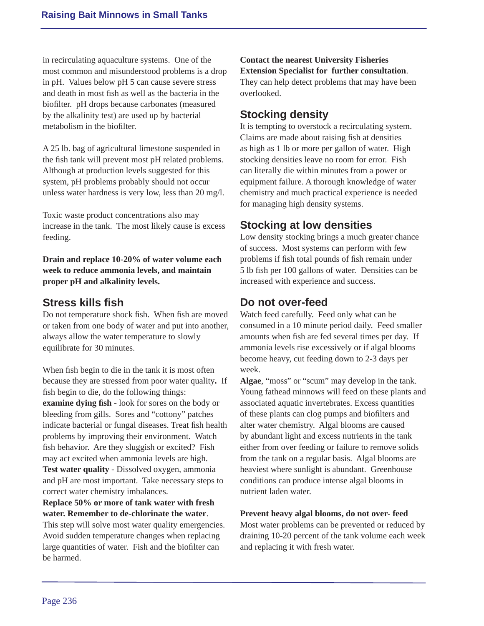in recirculating aquaculture systems. One of the most common and misunderstood problems is a drop in pH. Values below pH 5 can cause severe stress and death in most fish as well as the bacteria in the biofilter. pH drops because carbonates (measured by the alkalinity test) are used up by bacterial metabolism in the biofilter.

A 25 lb. bag of agricultural limestone suspended in the fish tank will prevent most pH related problems. Although at production levels suggested for this system, pH problems probably should not occur unless water hardness is very low, less than 20 mg/l.

Toxic waste product concentrations also may increase in the tank. The most likely cause is excess feeding.

**Drain and replace 10-20% of water volume each week to reduce ammonia levels, and maintain proper pH and alkalinity levels.**

#### **Stress kills fi sh**

Do not temperature shock fish. When fish are moved or taken from one body of water and put into another, always allow the water temperature to slowly equilibrate for 30 minutes.

When fish begin to die in the tank it is most often because they are stressed from poor water quality**.** If fish begin to die, do the following things: **examine dying fish** - look for sores on the body or bleeding from gills. Sores and "cottony" patches indicate bacterial or fungal diseases. Treat fish health problems by improving their environment. Watch fish behavior. Are they sluggish or excited? Fish may act excited when ammonia levels are high. **Test water quality** - Dissolved oxygen, ammonia and pH are most important. Take necessary steps to correct water chemistry imbalances.

#### **Replace 50% or more of tank water with fresh water. Remember to de-chlorinate the water**.

This step will solve most water quality emergencies. Avoid sudden temperature changes when replacing large quantities of water. Fish and the biofilter can be harmed.

**Contact the nearest University Fisheries Extension Specialist for further consultation**. They can help detect problems that may have been overlooked.

# **Stocking density**

It is tempting to overstock a recirculating system. Claims are made about raising fish at densities as high as 1 lb or more per gallon of water. High stocking densities leave no room for error. Fish can literally die within minutes from a power or equipment failure. A thorough knowledge of water chemistry and much practical experience is needed for managing high density systems.

# **Stocking at low densities**

Low density stocking brings a much greater chance of success. Most systems can perform with few problems if fish total pounds of fish remain under 5 lb fish per 100 gallons of water. Densities can be increased with experience and success.

## **Do not over-feed**

Watch feed carefully. Feed only what can be consumed in a 10 minute period daily. Feed smaller amounts when fish are fed several times per day. If ammonia levels rise excessively or if algal blooms become heavy, cut feeding down to 2-3 days per week.

**Algae**, "moss" or "scum" may develop in the tank. Young fathead minnows will feed on these plants and associated aquatic invertebrates. Excess quantities of these plants can clog pumps and biofilters and alter water chemistry. Algal blooms are caused by abundant light and excess nutrients in the tank either from over feeding or failure to remove solids from the tank on a regular basis. Algal blooms are heaviest where sunlight is abundant. Greenhouse conditions can produce intense algal blooms in nutrient laden water.

#### **Prevent heavy algal blooms, do not over- feed**

Most water problems can be prevented or reduced by draining 10-20 percent of the tank volume each week and replacing it with fresh water.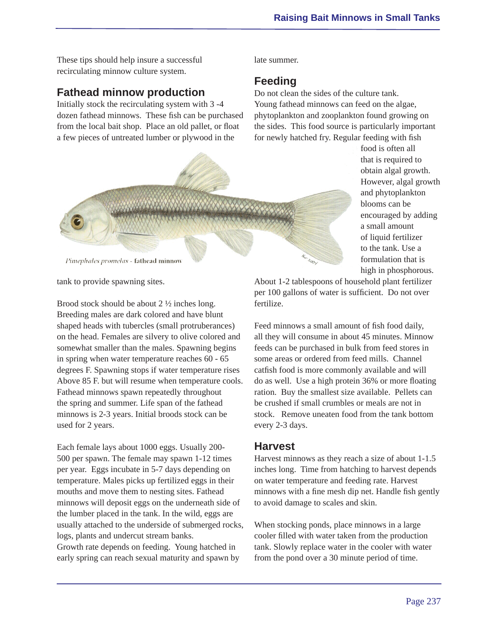These tips should help insure a successful recirculating minnow culture system.

#### **Fathead minnow production**

Initially stock the recirculating system with 3 -4 dozen fathead minnows. These fish can be purchased from the local bait shop. Place an old pallet, or float a few pieces of untreated lumber or plywood in the

late summer.

#### **Feeding**

Do not clean the sides of the culture tank. Young fathead minnows can feed on the algae, phytoplankton and zooplankton found growing on the sides. This food source is particularly important for newly hatched fry. Regular feeding with fish



food is often all that is required to obtain algal growth. However, algal growth and phytoplankton blooms can be encouraged by adding a small amount of liquid fertilizer to the tank. Use a formulation that is high in phosphorous.

tank to provide spawning sites.

Brood stock should be about 2 ½ inches long. Breeding males are dark colored and have blunt shaped heads with tubercles (small protruberances) on the head. Females are silvery to olive colored and somewhat smaller than the males. Spawning begins in spring when water temperature reaches 60 - 65 degrees F. Spawning stops if water temperature rises Above 85 F. but will resume when temperature cools. Fathead minnows spawn repeatedly throughout the spring and summer. Life span of the fathead minnows is 2-3 years. Initial broods stock can be used for 2 years.

Each female lays about 1000 eggs. Usually 200- 500 per spawn. The female may spawn 1-12 times per year. Eggs incubate in 5-7 days depending on temperature. Males picks up fertilized eggs in their mouths and move them to nesting sites. Fathead minnows will deposit eggs on the underneath side of the lumber placed in the tank. In the wild, eggs are usually attached to the underside of submerged rocks, logs, plants and undercut stream banks. Growth rate depends on feeding. Young hatched in early spring can reach sexual maturity and spawn by

About 1-2 tablespoons of household plant fertilizer per 100 gallons of water is sufficient. Do not over fertilize.

Feed minnows a small amount of fish food daily, all they will consume in about 45 minutes. Minnow feeds can be purchased in bulk from feed stores in some areas or ordered from feed mills. Channel catfish food is more commonly available and will do as well. Use a high protein 36% or more floating ration. Buy the smallest size available. Pellets can be crushed if small crumbles or meals are not in stock. Remove uneaten food from the tank bottom every 2-3 days.

#### **Harvest**

Harvest minnows as they reach a size of about 1-1.5 inches long. Time from hatching to harvest depends on water temperature and feeding rate. Harvest minnows with a fine mesh dip net. Handle fish gently to avoid damage to scales and skin.

When stocking ponds, place minnows in a large cooler filled with water taken from the production tank. Slowly replace water in the cooler with water from the pond over a 30 minute period of time.